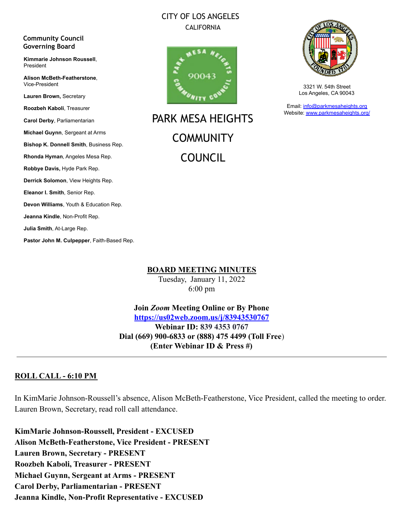# CITY OF LOS ANGELES CALIFORNIA

#### **Community Council Governing Board**

**Kimmarie Johnson Roussell**, President

**Alison McBeth-Featherstone**, Vice-President

**Lauren Brown,** Secretary

**Roozbeh Kaboli**, Treasurer

**Carol Derby**, Parliamentarian

**Michael Guynn**, Sergeant at Arms

**Bishop K. Donnell Smith**, Business Rep.

**Rhonda Hyman**, Angeles Mesa Rep.

**Robbye Davis,** Hyde Park Rep.

**Derrick Solomon**, View Heights Rep.

**Eleanor I. Smith**, Senior Rep.

**Devon Williams**, Youth & Education Rep.

**Jeanna Kindle**, Non-Profit Rep.

**Julia Smith**, At-Large Rep.

**Pastor John M. Culpepper**, Faith-Based Rep.



PARK MESA HEIGHTS **COMMUNITY** COUNCIL



3321 W. 54th Street Los Angeles, CA 90043

Email: [info@parkmesaheights.org](mailto:info@parkmesaheights.org) Website: [www.parkmesaheights.org/](http://www.parkmesaheights.org/)

**BOARD MEETING MINUTES**

Tuesday, January 11, 2022 6:00 pm

**Join** *Zoom* **Meeting Online or By Phone <https://us02web.zoom.us/j/83943530767> Webinar ID: 839 4353 0767 Dial (669) 900-6833 or (888) 475 4499 (Toll Free**) **(Enter Webinar ID & Press #)**

# **ROLL CALL - 6:10 PM**

In KimMarie Johnson-Roussell's absence, Alison McBeth-Featherstone, Vice President, called the meeting to order. Lauren Brown, Secretary, read roll call attendance.

**KimMarie Johnson-Roussell, President - EXCUSED Alison McBeth-Featherstone, Vice President - PRESENT Lauren Brown, Secretary - PRESENT Roozbeh Kaboli, Treasurer - PRESENT Michael Guynn, Sergeant at Arms - PRESENT Carol Derby, Parliamentarian - PRESENT Jeanna Kindle, Non-Profit Representative - EXCUSED**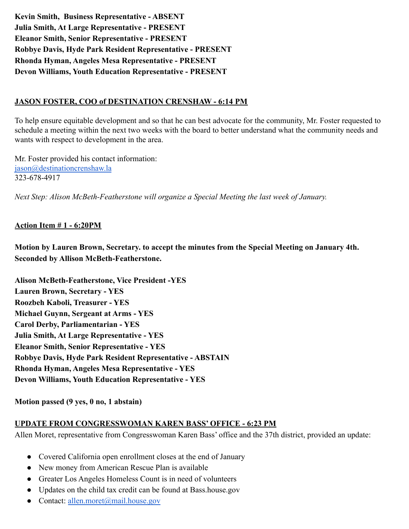**Kevin Smith, Business Representative - ABSENT Julia Smith, At Large Representative - PRESENT Eleanor Smith, Senior Representative - PRESENT Robbye Davis, Hyde Park Resident Representative - PRESENT Rhonda Hyman, Angeles Mesa Representative - PRESENT Devon Williams, Youth Education Representative - PRESENT**

## **JASON FOSTER, COO of DESTINATION CRENSHAW - 6:14 PM**

To help ensure equitable development and so that he can best advocate for the community, Mr. Foster requested to schedule a meeting within the next two weeks with the board to better understand what the community needs and wants with respect to development in the area.

Mr. Foster provided his contact information: [jason@destinationcrenshaw.la](mailto:jason@destinationcrenshaw.la) 323-678-4917

*Next Step: Alison McBeth-Featherstone will organize a Special Meeting the last week of January.*

## **Action Item # 1 - 6:20PM**

**Motion by Lauren Brown, Secretary. to accept the minutes from the Special Meeting on January 4th. Seconded by Allison McBeth-Featherstone.**

**Alison McBeth-Featherstone, Vice President -YES Lauren Brown, Secretary - YES Roozbeh Kaboli, Treasurer - YES Michael Guynn, Sergeant at Arms - YES Carol Derby, Parliamentarian - YES Julia Smith, At Large Representative - YES Eleanor Smith, Senior Representative - YES Robbye Davis, Hyde Park Resident Representative - ABSTAIN Rhonda Hyman, Angeles Mesa Representative - YES Devon Williams, Youth Education Representative - YES**

**Motion passed (9 yes, 0 no, 1 abstain)**

#### **UPDATE FROM CONGRESSWOMAN KAREN BASS' OFFICE - 6:23 PM**

Allen Moret, representative from Congresswoman Karen Bass' office and the 37th district, provided an update:

- Covered California open enrollment closes at the end of January
- New money from American Rescue Plan is available
- Greater Los Angeles Homeless Count is in need of volunteers
- Updates on the child tax credit can be found at Bass.house.gov
- Contact: [allen.moret@mail.house.gov](mailto:allen.moret@mail.house.gov)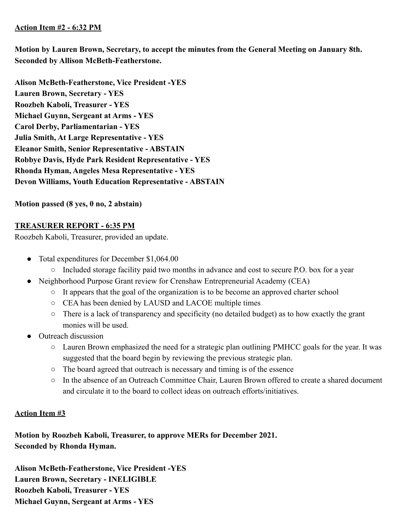## **Action Item #2 - 6:32 PM**

**Motion by Lauren Brown, Secretary, to accept the minutes from the General Meeting on January 8th. Seconded by Allison McBeth-Featherstone.**

**Alison McBeth-Featherstone, Vice President -YES Lauren Brown, Secretary - YES Roozbeh Kaboli, Treasurer - YES Michael Guynn, Sergeant at Arms - YES Carol Derby, Parliamentarian - YES Julia Smith, At Large Representative - YES Eleanor Smith, Senior Representative - ABSTAIN Robbye Davis, Hyde Park Resident Representative - YES Rhonda Hyman, Angeles Mesa Representative - YES Devon Williams, Youth Education Representative - ABSTAIN**

**Motion passed (8 yes, 0 no, 2 abstain)**

# **TREASURER REPORT - 6:35 PM**

Roozbeh Kaboli, Treasurer, provided an update.

- Total expenditures for December \$1,064.00
	- Included storage facility paid two months in advance and cost to secure P.O. box for a year
- Neighborhood Purpose Grant review for Crenshaw Entrepreneurial Academy (CEA)
	- It appears that the goal of the organization is to be become an approved charter school
	- CEA has been denied by LAUSD and LACOE multiple times
	- There is a lack of transparency and specificity (no detailed budget) as to how exactly the grant monies will be used.
- Outreach discussion
	- Lauren Brown emphasized the need for a strategic plan outlining PMHCC goals for the year. It was suggested that the board begin by reviewing the previous strategic plan.
	- The board agreed that outreach is necessary and timing is of the essence
	- In the absence of an Outreach Committee Chair, Lauren Brown offered to create a shared document and circulate it to the board to collect ideas on outreach efforts/initiatives.

## **Action Item #3**

**Motion by Roozbeh Kaboli, Treasurer, to approve MERs for December 2021. Seconded by Rhonda Hyman.**

**Alison McBeth-Featherstone, Vice President -YES Lauren Brown, Secretary - INELIGIBLE Roozbeh Kaboli, Treasurer - YES Michael Guynn, Sergeant at Arms - YES**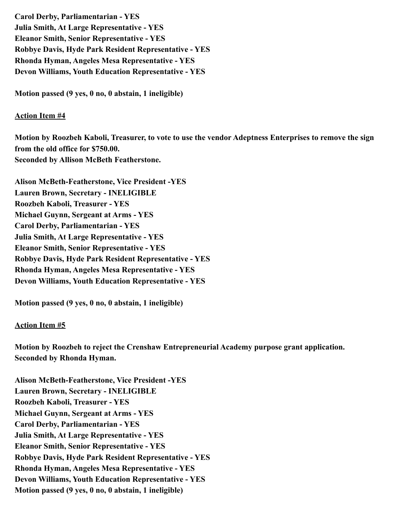**Carol Derby, Parliamentarian - YES Julia Smith, At Large Representative - YES Eleanor Smith, Senior Representative - YES Robbye Davis, Hyde Park Resident Representative - YES Rhonda Hyman, Angeles Mesa Representative - YES Devon Williams, Youth Education Representative - YES**

**Motion passed (9 yes, 0 no, 0 abstain, 1 ineligible)**

#### **Action Item #4**

**Motion by Roozbeh Kaboli, Treasurer, to vote to use the vendor Adeptness Enterprises to remove the sign from the old office for \$750.00. Seconded by Allison McBeth Featherstone.**

**Alison McBeth-Featherstone, Vice President -YES Lauren Brown, Secretary - INELIGIBLE Roozbeh Kaboli, Treasurer - YES Michael Guynn, Sergeant at Arms - YES Carol Derby, Parliamentarian - YES Julia Smith, At Large Representative - YES Eleanor Smith, Senior Representative - YES Robbye Davis, Hyde Park Resident Representative - YES Rhonda Hyman, Angeles Mesa Representative - YES Devon Williams, Youth Education Representative - YES**

**Motion passed (9 yes, 0 no, 0 abstain, 1 ineligible)**

#### **Action Item #5**

**Motion by Roozbeh to reject the Crenshaw Entrepreneurial Academy purpose grant application. Seconded by Rhonda Hyman.**

**Alison McBeth-Featherstone, Vice President -YES Lauren Brown, Secretary - INELIGIBLE Roozbeh Kaboli, Treasurer - YES Michael Guynn, Sergeant at Arms - YES Carol Derby, Parliamentarian - YES Julia Smith, At Large Representative - YES Eleanor Smith, Senior Representative - YES Robbye Davis, Hyde Park Resident Representative - YES Rhonda Hyman, Angeles Mesa Representative - YES Devon Williams, Youth Education Representative - YES Motion passed (9 yes, 0 no, 0 abstain, 1 ineligible)**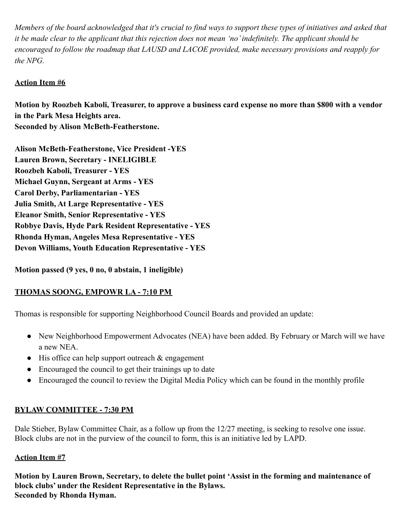*Members of the board acknowledged that it's crucial to find ways to support these types of initiatives and asked that it be made clear to the applicant that this rejection does not mean 'no' indefinitely. The applicant should be encouraged to follow the roadmap that LAUSD and LACOE provided, make necessary provisions and reapply for the NPG.*

# **Action Item #6**

**Motion by Roozbeh Kaboli, Treasurer, to approve a business card expense no more than \$800 with a vendor in the Park Mesa Heights area. Seconded by Alison McBeth-Featherstone.**

**Alison McBeth-Featherstone, Vice President -YES Lauren Brown, Secretary - INELIGIBLE Roozbeh Kaboli, Treasurer - YES Michael Guynn, Sergeant at Arms - YES Carol Derby, Parliamentarian - YES Julia Smith, At Large Representative - YES Eleanor Smith, Senior Representative - YES Robbye Davis, Hyde Park Resident Representative - YES Rhonda Hyman, Angeles Mesa Representative - YES Devon Williams, Youth Education Representative - YES**

**Motion passed (9 yes, 0 no, 0 abstain, 1 ineligible)**

# **THOMAS SOONG, EMPOWR LA - 7:10 PM**

Thomas is responsible for supporting Neighborhood Council Boards and provided an update:

- New Neighborhood Empowerment Advocates (NEA) have been added. By February or March will we have a new NEA.
- His office can help support outreach & engagement
- Encouraged the council to get their trainings up to date
- Encouraged the council to review the Digital Media Policy which can be found in the monthly profile

# **BYLAW COMMITTEE - 7:30 PM**

Dale Stieber, Bylaw Committee Chair, as a follow up from the 12/27 meeting, is seeking to resolve one issue. Block clubs are not in the purview of the council to form, this is an initiative led by LAPD.

# **Action Item #7**

**Motion by Lauren Brown, Secretary, to delete the bullet point 'Assist in the forming and maintenance of block clubs' under the Resident Representative in the Bylaws. Seconded by Rhonda Hyman.**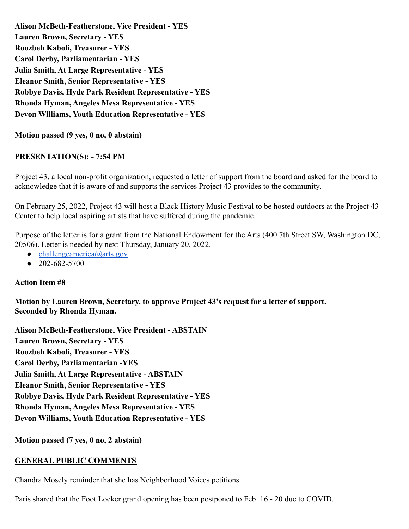**Alison McBeth-Featherstone, Vice President - YES Lauren Brown, Secretary - YES Roozbeh Kaboli, Treasurer - YES Carol Derby, Parliamentarian - YES Julia Smith, At Large Representative - YES Eleanor Smith, Senior Representative - YES Robbye Davis, Hyde Park Resident Representative - YES Rhonda Hyman, Angeles Mesa Representative - YES Devon Williams, Youth Education Representative - YES**

**Motion passed (9 yes, 0 no, 0 abstain)**

## **PRESENTATION(S): - 7:54 PM**

Project 43, a local non-profit organization, requested a letter of support from the board and asked for the board to acknowledge that it is aware of and supports the services Project 43 provides to the community.

On February 25, 2022, Project 43 will host a Black History Music Festival to be hosted outdoors at the Project 43 Center to help local aspiring artists that have suffered during the pandemic.

Purpose of the letter is for a grant from the National Endowment for the Arts (400 7th Street SW, Washington DC, 20506). Letter is needed by next Thursday, January 20, 2022.

- $\bullet$  [challengeamerica@arts.gov](mailto:challengeamerica@arts.gov)
- 202-682-5700

## **Action Item #8**

**Motion by Lauren Brown, Secretary, to approve Project 43's request for a letter of support. Seconded by Rhonda Hyman.**

**Alison McBeth-Featherstone, Vice President - ABSTAIN Lauren Brown, Secretary - YES Roozbeh Kaboli, Treasurer - YES Carol Derby, Parliamentarian -YES Julia Smith, At Large Representative - ABSTAIN Eleanor Smith, Senior Representative - YES Robbye Davis, Hyde Park Resident Representative - YES Rhonda Hyman, Angeles Mesa Representative - YES Devon Williams, Youth Education Representative - YES**

**Motion passed (7 yes, 0 no, 2 abstain)**

## **GENERAL PUBLIC COMMENTS**

Chandra Mosely reminder that she has Neighborhood Voices petitions.

Paris shared that the Foot Locker grand opening has been postponed to Feb. 16 - 20 due to COVID.